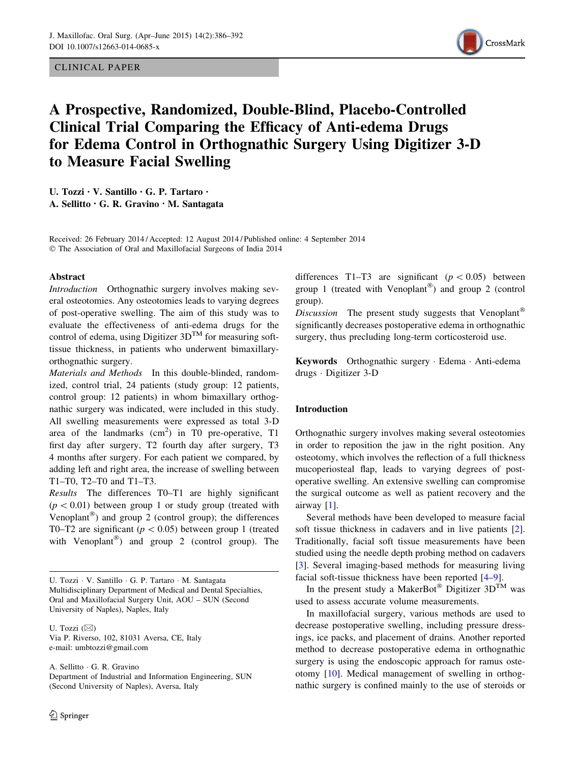CLINICAL PAPER



# A Prospective, Randomized, Double-Blind, Placebo-Controlled Clinical Trial Comparing the Efficacy of Anti-edema Drugs for Edema Control in Orthognathic Surgery Using Digitizer 3-D to Measure Facial Swelling

U. Tozzi • V. Santillo • G. P. Tartaro • A. Sellitto • G. R. Gravino • M. Santagata

Received: 26 February 2014 / Accepted: 12 August 2014 / Published online: 4 September 2014 - The Association of Oral and Maxillofacial Surgeons of India 2014

#### Abstract

Introduction Orthognathic surgery involves making several osteotomies. Any osteotomies leads to varying degrees of post-operative swelling. The aim of this study was to evaluate the effectiveness of anti-edema drugs for the control of edema, using Digitizer  $3D^{TM}$  for measuring softtissue thickness, in patients who underwent bimaxillaryorthognathic surgery.

Materials and Methods In this double-blinded, randomized, control trial, 24 patients (study group: 12 patients, control group: 12 patients) in whom bimaxillary orthognathic surgery was indicated, were included in this study. All swelling measurements were expressed as total 3-D area of the landmarks  $(cm<sup>2</sup>)$  in T0 pre-operative, T1 first day after surgery, T2 fourth day after surgery, T3 4 months after surgery. For each patient we compared, by adding left and right area, the increase of swelling between T1–T0, T2–T0 and T1–T3.

Results The differences T0–T1 are highly significant  $(p < 0.01)$  between group 1 or study group (treated with Venoplant<sup>®</sup>) and group 2 (control group); the differences T0–T2 are significant ( $p < 0.05$ ) between group 1 (treated with Venoplant<sup>®</sup>) and group 2 (control group). The

U. Tozzi  $(\boxtimes)$ Via P. Riverso, 102, 81031 Aversa, CE, Italy e-mail: umbtozzi@gmail.com

A. Sellitto - G. R. Gravino Department of Industrial and Information Engineering, SUN (Second University of Naples), Aversa, Italy

differences T1–T3 are significant  $(p<0.05)$  between group 1 (treated with Venoplant®) and group 2 (control group).

Discussion The present study suggests that Venoplant<sup>®</sup> significantly decreases postoperative edema in orthognathic surgery, thus precluding long-term corticosteroid use.

Keywords Orthognathic surgery - Edema - Anti-edema drugs - Digitizer 3-D

### Introduction

Orthognathic surgery involves making several osteotomies in order to reposition the jaw in the right position. Any osteotomy, which involves the reflection of a full thickness mucoperiosteal flap, leads to varying degrees of postoperative swelling. An extensive swelling can compromise the surgical outcome as well as patient recovery and the airway [\[1](#page-5-0)].

Several methods have been developed to measure facial soft tissue thickness in cadavers and in live patients [\[2](#page-5-0)]. Traditionally, facial soft tissue measurements have been studied using the needle depth probing method on cadavers [\[3](#page-5-0)]. Several imaging-based methods for measuring living facial soft-tissue thickness have been reported [\[4–9](#page-5-0)].

In the present study a MakerBot<sup>®</sup> Digitizer  $3D^{TM}$  was used to assess accurate volume measurements.

In maxillofacial surgery, various methods are used to decrease postoperative swelling, including pressure dressings, ice packs, and placement of drains. Another reported method to decrease postoperative edema in orthognathic surgery is using the endoscopic approach for ramus osteotomy [\[10](#page-5-0)]. Medical management of swelling in orthognathic surgery is confined mainly to the use of steroids or

U. Tozzi · V. Santillo · G. P. Tartaro · M. Santagata Multidisciplinary Department of Medical and Dental Specialties, Oral and Maxillofacial Surgery Unit, AOU – SUN (Second University of Naples), Naples, Italy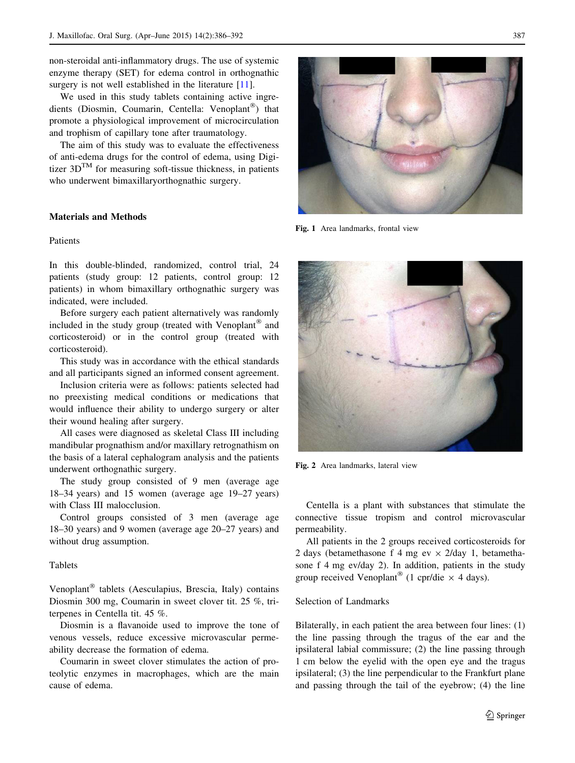<span id="page-1-0"></span>non-steroidal anti-inflammatory drugs. The use of systemic enzyme therapy (SET) for edema control in orthognathic surgery is not well established in the literature [\[11](#page-5-0)].

We used in this study tablets containing active ingredients (Diosmin, Coumarin, Centella: Venoplant®) that promote a physiological improvement of microcirculation and trophism of capillary tone after traumatology.

The aim of this study was to evaluate the effectiveness of anti-edema drugs for the control of edema, using Digitizer  $3D^{TM}$  for measuring soft-tissue thickness, in patients who underwent bimaxillaryorthognathic surgery.

## Materials and Methods

### Patients

In this double-blinded, randomized, control trial, 24 patients (study group: 12 patients, control group: 12 patients) in whom bimaxillary orthognathic surgery was indicated, were included.

Before surgery each patient alternatively was randomly included in the study group (treated with Venoplant<sup>®</sup> and corticosteroid) or in the control group (treated with corticosteroid).

This study was in accordance with the ethical standards and all participants signed an informed consent agreement.

Inclusion criteria were as follows: patients selected had no preexisting medical conditions or medications that would influence their ability to undergo surgery or alter their wound healing after surgery.

All cases were diagnosed as skeletal Class III including mandibular prognathism and/or maxillary retrognathism on the basis of a lateral cephalogram analysis and the patients underwent orthognathic surgery.

The study group consisted of 9 men (average age 18–34 years) and 15 women (average age 19–27 years) with Class III malocclusion.

Control groups consisted of 3 men (average age 18–30 years) and 9 women (average age 20–27 years) and without drug assumption.

#### **Tablets**

Venoplant<sup>®</sup> tablets (Aesculapius, Brescia, Italy) contains Diosmin 300 mg, Coumarin in sweet clover tit. 25 %, triterpenes in Centella tit. 45 %.

Diosmin is a flavanoide used to improve the tone of venous vessels, reduce excessive microvascular permeability decrease the formation of edema.

Coumarin in sweet clover stimulates the action of proteolytic enzymes in macrophages, which are the main cause of edema.



Fig. 1 Area landmarks, frontal view



Fig. 2 Area landmarks, lateral view

Centella is a plant with substances that stimulate the connective tissue tropism and control microvascular permeability.

All patients in the 2 groups received corticosteroids for 2 days (betamethasone f 4 mg ev  $\times$  2/day 1, betamethasone f 4 mg ev/day 2). In addition, patients in the study group received Venoplant<sup>®</sup> (1 cpr/die  $\times$  4 days).

#### Selection of Landmarks

Bilaterally, in each patient the area between four lines: (1) the line passing through the tragus of the ear and the ipsilateral labial commissure; (2) the line passing through 1 cm below the eyelid with the open eye and the tragus ipsilateral; (3) the line perpendicular to the Frankfurt plane and passing through the tail of the eyebrow; (4) the line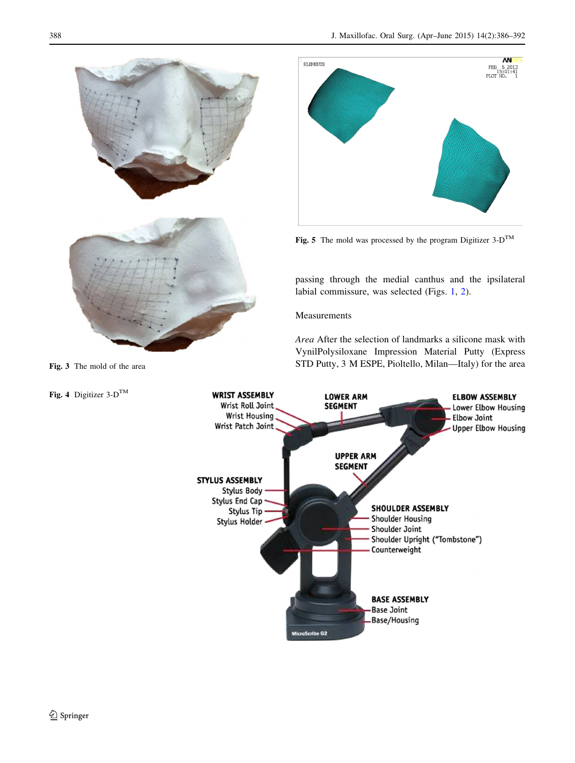<span id="page-2-0"></span>



Fig. 5 The mold was processed by the program Digitizer  $3-D^{TM}$ 

passing through the medial canthus and the ipsilateral labial commissure, was selected (Figs. [1,](#page-1-0) [2\)](#page-1-0).

## Measurements

Area After the selection of landmarks a silicone mask with VynilPolysiloxane Impression Material Putty (Express Fig. 3 The mold of the area STD Putty, 3 M ESPE, Pioltello, Milan—Italy) for the area

Fig. 4 Digitizer  $3-D^{TM}$ 

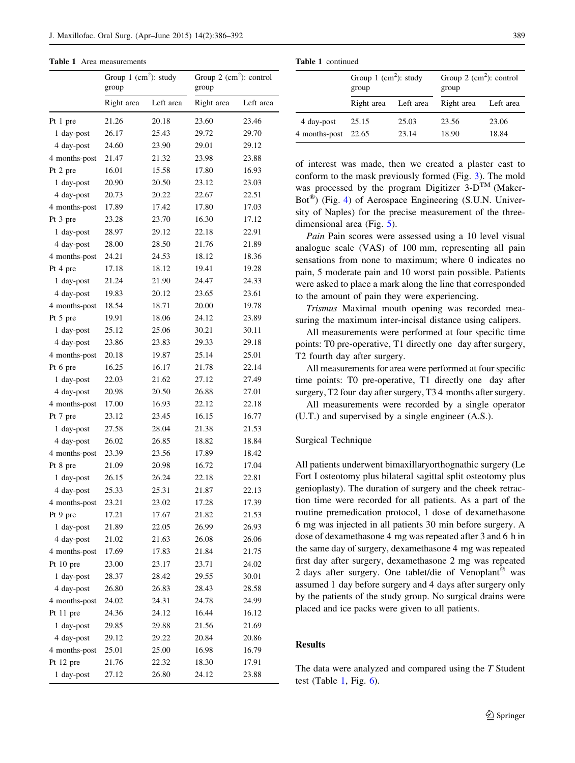Table 1 Area measurements

|               | Group 1 $(cm^2)$ : study<br>group |           | Group 2 $(cm^2)$ : control<br>group |           |  |
|---------------|-----------------------------------|-----------|-------------------------------------|-----------|--|
|               | Right area                        | Left area | Right area                          | Left area |  |
| Pt 1 pre      | 21.26                             | 20.18     | 23.60                               | 23.46     |  |
| 1 day-post    | 26.17                             | 25.43     | 29.72                               | 29.70     |  |
| 4 day-post    | 24.60                             | 23.90     | 29.01                               | 29.12     |  |
| 4 months-post | 21.47                             | 21.32     | 23.98                               | 23.88     |  |
| Pt 2 pre      | 16.01                             | 15.58     | 17.80                               | 16.93     |  |
| 1 day-post    | 20.90                             | 20.50     | 23.12                               | 23.03     |  |
| 4 day-post    | 20.73                             | 20.22     | 22.67                               | 22.51     |  |
| 4 months-post | 17.89                             | 17.42     | 17.80                               | 17.03     |  |
| Pt 3 pre      | 23.28                             | 23.70     | 16.30                               | 17.12     |  |
| 1 day-post    | 28.97                             | 29.12     | 22.18                               | 22.91     |  |
| 4 day-post    | 28.00                             | 28.50     | 21.76                               | 21.89     |  |
| 4 months-post | 24.21                             | 24.53     | 18.12                               | 18.36     |  |
| Pt 4 pre      | 17.18                             | 18.12     | 19.41                               | 19.28     |  |
| 1 day-post    | 21.24                             | 21.90     | 24.47                               | 24.33     |  |
| 4 day-post    | 19.83                             | 20.12     | 23.65                               | 23.61     |  |
| 4 months-post | 18.54                             | 18.71     | 20.00                               | 19.78     |  |
| Pt 5 pre      | 19.91                             | 18.06     | 24.12                               | 23.89     |  |
| 1 day-post    | 25.12                             | 25.06     | 30.21                               | 30.11     |  |
| 4 day-post    | 23.86                             | 23.83     | 29.33                               | 29.18     |  |
| 4 months-post | 20.18                             | 19.87     | 25.14                               | 25.01     |  |
| Pt 6 pre      | 16.25                             | 16.17     | 21.78                               | 22.14     |  |
| 1 day-post    | 22.03                             | 21.62     | 27.12                               | 27.49     |  |
| 4 day-post    | 20.98                             | 20.50     | 26.88                               | 27.01     |  |
| 4 months-post | 17.00                             | 16.93     | 22.12                               | 22.18     |  |
| Pt 7 pre      | 23.12                             | 23.45     | 16.15                               | 16.77     |  |
| 1 day-post    | 27.58                             | 28.04     | 21.38                               | 21.53     |  |
| 4 day-post    | 26.02                             | 26.85     | 18.82                               | 18.84     |  |
| 4 months-post | 23.39                             | 23.56     | 17.89                               | 18.42     |  |
| Pt 8 pre      | 21.09                             | 20.98     | 16.72                               | 17.04     |  |
| 1 day-post    | 26.15                             | 26.24     | 22.18                               | 22.81     |  |
| 4 day-post    | 25.33                             | 25.31     | 21.87                               | 22.13     |  |
| 4 months-post | 23.21                             | 23.02     | 17.28                               | 17.39     |  |
| Pt 9 pre      | 17.21                             | 17.67     | 21.82                               | 21.53     |  |
| 1 day-post    | 21.89                             | 22.05     | 26.99                               | 26.93     |  |
| 4 day-post    | 21.02                             | 21.63     | 26.08                               | 26.06     |  |
| 4 months-post | 17.69                             | 17.83     | 21.84                               | 21.75     |  |
| Pt 10 pre     | 23.00                             | 23.17     | 23.71                               | 24.02     |  |
| 1 day-post    | 28.37                             | 28.42     | 29.55                               | 30.01     |  |
| 4 day-post    | 26.80                             | 26.83     | 28.43                               | 28.58     |  |
| 4 months-post | 24.02                             | 24.31     | 24.78                               | 24.99     |  |
| Pt 11 pre     | 24.36                             | 24.12     | 16.44                               | 16.12     |  |
|               |                                   |           | 21.56                               | 21.69     |  |
| 1 day-post    | 29.85                             | 29.88     |                                     |           |  |
| 4 day-post    | 29.12                             | 29.22     | 20.84                               | 20.86     |  |
| 4 months-post | 25.01                             | 25.00     | 16.98                               | 16.79     |  |
| Pt 12 pre     | 21.76                             | 22.32     | 18.30                               | 17.91     |  |
| 1 day-post    | 27.12                             | 26.80     | 24.12                               | 23.88     |  |

Table 1 continued

|                     | Group 1 $(cm2)$ : study<br>group |       | Group $2 \text{ (cm}^2)$ : control<br>group |           |  |
|---------------------|----------------------------------|-------|---------------------------------------------|-----------|--|
|                     | Right area Left area             |       | Right area                                  | Left area |  |
| 4 day-post          | 25.15                            | 25.03 | 23.56                                       | 23.06     |  |
| 4 months-post 22.65 |                                  | 23.14 | 18.90                                       | 18.84     |  |

of interest was made, then we created a plaster cast to conform to the mask previously formed (Fig. [3\)](#page-2-0). The mold was processed by the program Digitizer  $3-D^{TM}$  (Maker-Bot<sup>®</sup>) (Fig. [4\)](#page-2-0) of Aerospace Engineering (S.U.N. University of Naples) for the precise measurement of the threedimensional area (Fig. [5\)](#page-2-0).

Pain Pain scores were assessed using a 10 level visual analogue scale (VAS) of 100 mm, representing all pain sensations from none to maximum; where 0 indicates no pain, 5 moderate pain and 10 worst pain possible. Patients were asked to place a mark along the line that corresponded to the amount of pain they were experiencing.

Trismus Maximal mouth opening was recorded measuring the maximum inter-incisal distance using calipers.

All measurements were performed at four specific time points: T0 pre-operative, T1 directly one day after surgery, T2 fourth day after surgery.

All measurements for area were performed at four specific time points: T0 pre-operative, T1 directly one day after surgery, T2 four day after surgery, T3 4 months after surgery.

All measurements were recorded by a single operator (U.T.) and supervised by a single engineer (A.S.).

## Surgical Technique

All patients underwent bimaxillaryorthognathic surgery (Le Fort I osteotomy plus bilateral sagittal split osteotomy plus genioplasty). The duration of surgery and the cheek retraction time were recorded for all patients. As a part of the routine premedication protocol, 1 dose of dexamethasone 6 mg was injected in all patients 30 min before surgery. A dose of dexamethasone 4 mg was repeated after 3 and 6 h in the same day of surgery, dexamethasone 4 mg was repeated first day after surgery, dexamethasone 2 mg was repeated 2 days after surgery. One tablet/die of Venoplant<sup>®</sup> was assumed 1 day before surgery and 4 days after surgery only by the patients of the study group. No surgical drains were placed and ice packs were given to all patients.

#### Results

The data were analyzed and compared using the T Student test (Table 1, Fig.  $6$ ).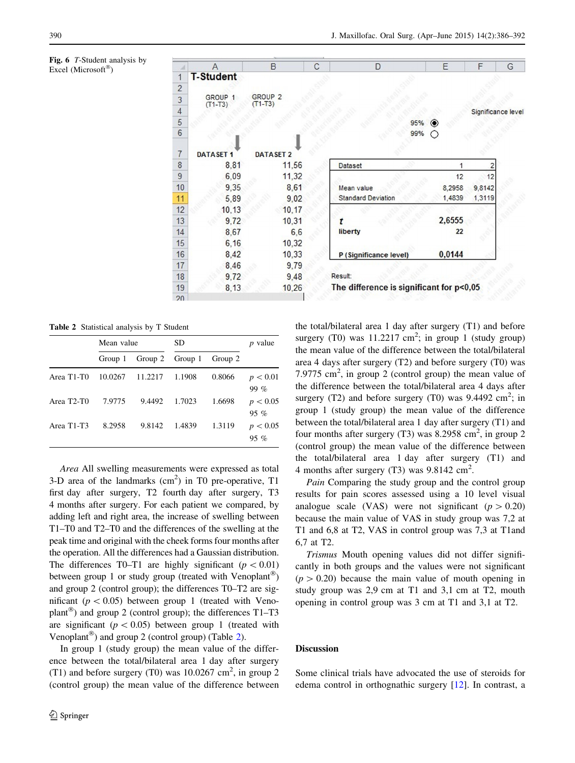<span id="page-4-0"></span>Fig. 6 T-Student analysis by Excel (Microsoft®)

|                 | A                  | B                  | C | D                                        | E              | F                  | G |
|-----------------|--------------------|--------------------|---|------------------------------------------|----------------|--------------------|---|
| $\mathbf{1}$    | <b>T-Student</b>   |                    |   |                                          |                |                    |   |
| $\overline{c}$  |                    |                    |   |                                          |                |                    |   |
| $\overline{3}$  | GROUP <sub>1</sub> | GROUP <sub>2</sub> |   |                                          |                |                    |   |
| $\overline{4}$  | $(T1-T3)$          | $(T1-T3)$          |   |                                          |                | Significance level |   |
| $\sqrt{5}$      |                    |                    |   |                                          | 95%<br>$\circ$ |                    |   |
| $6\phantom{.}6$ |                    |                    |   |                                          | 99%<br>O       |                    |   |
|                 |                    |                    |   |                                          |                |                    |   |
| $\overline{7}$  | <b>DATASET 1</b>   | <b>DATASET 2</b>   |   |                                          |                |                    |   |
| 8               | 8,81               | 11,56              |   | <b>Dataset</b>                           | 1              |                    |   |
| $\overline{9}$  | 6,09               | 11,32              |   |                                          | 12             | 12                 |   |
| 10              | 9,35               | 8,61               |   | Mean value                               | 8,2958         | 9,8142             |   |
| 11              | 5,89               | 9,02               |   | <b>Standard Deviation</b>                | 1,4839         | 1,3119             |   |
| 12              | 10, 13             | 10, 17             |   |                                          |                |                    |   |
| 13              | 9,72               | 10,31              |   |                                          | 2,6555         |                    |   |
| 14              | 8,67               | 6,6                |   | liberty                                  | 22             |                    |   |
| 15              | 6, 16              | 10,32              |   |                                          |                |                    |   |
| 16              | 8,42               | 10,33              |   | P (Significance level)                   | 0,0144         |                    |   |
| 17              | 8,46               | 9,79               |   |                                          |                |                    |   |
| 18              | 9,72               | 9,48               |   | Result:                                  |                |                    |   |
| 19              | 8,13               | 10,26              |   | The difference is significant for p<0,05 |                |                    |   |
| 20 <sup>o</sup> |                    |                    |   |                                          |                |                    |   |

Table 2 Statistical analysis by T Student

|                                     | Mean value |                 | SD     |         | <i>p</i> value     |
|-------------------------------------|------------|-----------------|--------|---------|--------------------|
|                                     | Group 1    | Group 2 Group 1 |        | Group 2 |                    |
| Area T <sub>1</sub> -T <sub>0</sub> | 10.0267    | 11.2217         | 1.1908 | 0.8066  | p < 0.01<br>$99\%$ |
| Area T <sub>2</sub> -T <sub>0</sub> | 7.9775     | 9.4492          | 1.7023 | 1.6698  | p < 0.05<br>$95\%$ |
| Area T1-T3                          | 8.2958     | 9.8142          | 1.4839 | 1.3119  | p < 0.05<br>$95\%$ |

Area All swelling measurements were expressed as total 3-D area of the landmarks  $(cm<sup>2</sup>)$  in T0 pre-operative, T1 first day after surgery, T2 fourth day after surgery, T3 4 months after surgery. For each patient we compared, by adding left and right area, the increase of swelling between T1–T0 and T2–T0 and the differences of the swelling at the peak time and original with the cheek forms four months after the operation. All the differences had a Gaussian distribution. The differences T0–T1 are highly significant ( $p < 0.01$ ) between group 1 or study group (treated with Venoplant<sup>®</sup>) and group 2 (control group); the differences T0–T2 are significant ( $p < 0.05$ ) between group 1 (treated with Venoplant<sup>®</sup>) and group 2 (control group); the differences  $T1-T3$ are significant ( $p < 0.05$ ) between group 1 (treated with Venoplant<sup>®</sup>) and group 2 (control group) (Table 2).

In group 1 (study group) the mean value of the difference between the total/bilateral area 1 day after surgery (T1) and before surgery (T0) was  $10.0267$  cm<sup>2</sup>, in group 2 (control group) the mean value of the difference between the total/bilateral area 1 day after surgery (T1) and before surgery (T0) was  $11.2217$  cm<sup>2</sup>; in group 1 (study group) the mean value of the difference between the total/bilateral area 4 days after surgery (T2) and before surgery (T0) was 7.9775  $\text{cm}^2$ , in group 2 (control group) the mean value of the difference between the total/bilateral area 4 days after surgery (T2) and before surgery (T0) was  $9.4492 \text{ cm}^2$ ; in group 1 (study group) the mean value of the difference between the total/bilateral area 1 day after surgery (T1) and four months after surgery (T3) was 8.2958 cm<sup>2</sup>, in group 2 (control group) the mean value of the difference between the total/bilateral area 1 day after surgery (T1) and 4 months after surgery (T3) was  $9.8142 \text{ cm}^2$ .

Pain Comparing the study group and the control group results for pain scores assessed using a 10 level visual analogue scale (VAS) were not significant ( $p > 0.20$ ) because the main value of VAS in study group was 7,2 at T1 and 6,8 at T2, VAS in control group was 7,3 at T1and 6,7 at T2.

Trismus Mouth opening values did not differ significantly in both groups and the values were not significant  $(p > 0.20)$  because the main value of mouth opening in study group was 2,9 cm at T1 and 3,1 cm at T2, mouth opening in control group was 3 cm at T1 and 3,1 at T2.

#### Discussion

Some clinical trials have advocated the use of steroids for edema control in orthognathic surgery [[12\]](#page-5-0). In contrast, a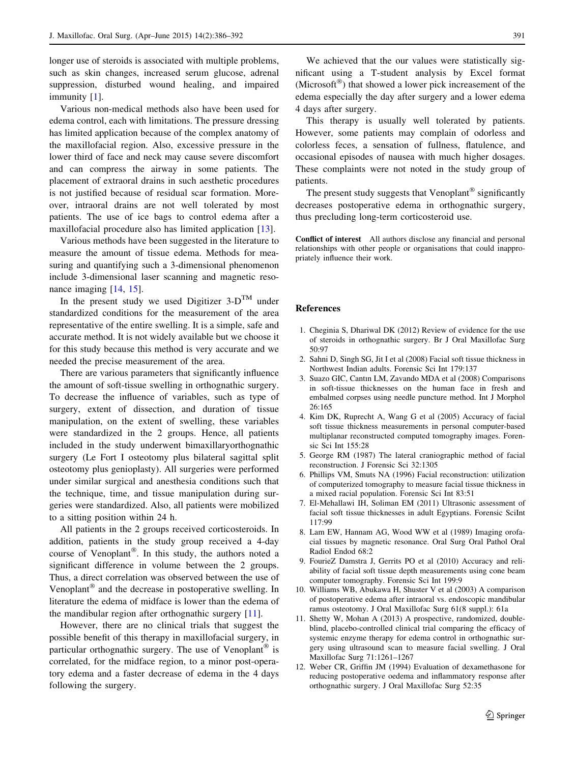<span id="page-5-0"></span>longer use of steroids is associated with multiple problems, such as skin changes, increased serum glucose, adrenal suppression, disturbed wound healing, and impaired immunity [1].

Various non-medical methods also have been used for edema control, each with limitations. The pressure dressing has limited application because of the complex anatomy of the maxillofacial region. Also, excessive pressure in the lower third of face and neck may cause severe discomfort and can compress the airway in some patients. The placement of extraoral drains in such aesthetic procedures is not justified because of residual scar formation. Moreover, intraoral drains are not well tolerated by most patients. The use of ice bags to control edema after a maxillofacial procedure also has limited application [[13\]](#page-6-0).

Various methods have been suggested in the literature to measure the amount of tissue edema. Methods for measuring and quantifying such a 3-dimensional phenomenon include 3-dimensional laser scanning and magnetic reso-nance imaging [\[14](#page-6-0), [15](#page-6-0)].

In the present study we used Digitizer  $3-D^{TM}$  under standardized conditions for the measurement of the area representative of the entire swelling. It is a simple, safe and accurate method. It is not widely available but we choose it for this study because this method is very accurate and we needed the precise measurement of the area.

There are various parameters that significantly influence the amount of soft-tissue swelling in orthognathic surgery. To decrease the influence of variables, such as type of surgery, extent of dissection, and duration of tissue manipulation, on the extent of swelling, these variables were standardized in the 2 groups. Hence, all patients included in the study underwent bimaxillaryorthognathic surgery (Le Fort I osteotomy plus bilateral sagittal split osteotomy plus genioplasty). All surgeries were performed under similar surgical and anesthesia conditions such that the technique, time, and tissue manipulation during surgeries were standardized. Also, all patients were mobilized to a sitting position within 24 h.

All patients in the 2 groups received corticosteroids. In addition, patients in the study group received a 4-day course of Venoplant<sup>®</sup>. In this study, the authors noted a significant difference in volume between the 2 groups. Thus, a direct correlation was observed between the use of Venoplant $^{\circledR}$  and the decrease in postoperative swelling. In literature the edema of midface is lower than the edema of the mandibular region after orthognathic surgery [11].

However, there are no clinical trials that suggest the possible benefit of this therapy in maxillofacial surgery, in particular orthognathic surgery. The use of Venoplant<sup>®</sup> is correlated, for the midface region, to a minor post-operatory edema and a faster decrease of edema in the 4 days following the surgery.

We achieved that the our values were statistically significant using a T-student analysis by Excel format (Microsoft<sup>®</sup>) that showed a lower pick increasement of the edema especially the day after surgery and a lower edema 4 days after surgery.

This therapy is usually well tolerated by patients. However, some patients may complain of odorless and colorless feces, a sensation of fullness, flatulence, and occasional episodes of nausea with much higher dosages. These complaints were not noted in the study group of patients.

The present study suggests that Venoplant<sup>®</sup> significantly decreases postoperative edema in orthognathic surgery, thus precluding long-term corticosteroid use.

Conflict of interest All authors disclose any financial and personal relationships with other people or organisations that could inappropriately influence their work.

#### References

- 1. Cheginia S, Dhariwal DK (2012) Review of evidence for the use of steroids in orthognathic surgery. Br J Oral Maxillofac Surg 50:97
- 2. Sahni D, Singh SG, Jit I et al (2008) Facial soft tissue thickness in Northwest Indian adults. Forensic Sci Int 179:137
- 3. Suazo GIC, Cantın LM, Zavando MDA et al (2008) Comparisons in soft-tissue thicknesses on the human face in fresh and embalmed corpses using needle puncture method. Int J Morphol 26:165
- 4. Kim DK, Ruprecht A, Wang G et al (2005) Accuracy of facial soft tissue thickness measurements in personal computer-based multiplanar reconstructed computed tomography images. Forensic Sci Int 155:28
- 5. George RM (1987) The lateral craniographic method of facial reconstruction. J Forensic Sci 32:1305
- 6. Phillips VM, Smuts NA (1996) Facial reconstruction: utilization of computerized tomography to measure facial tissue thickness in a mixed racial population. Forensic Sci Int 83:51
- 7. El-Mehallawi IH, Soliman EM (2011) Ultrasonic assessment of facial soft tissue thicknesses in adult Egyptians. Forensic SciInt 117:99
- 8. Lam EW, Hannam AG, Wood WW et al (1989) Imaging orofacial tissues by magnetic resonance. Oral Surg Oral Pathol Oral Radiol Endod 68:2
- 9. FourieZ Damstra J, Gerrits PO et al (2010) Accuracy and reliability of facial soft tissue depth measurements using cone beam computer tomography. Forensic Sci Int 199:9
- 10. Williams WB, Abukawa H, Shuster V et al (2003) A comparison of postoperative edema after intraoral vs. endoscopic mandibular ramus osteotomy. J Oral Maxillofac Surg 61(8 suppl.): 61a
- 11. Shetty W, Mohan A (2013) A prospective, randomized, doubleblind, placebo-controlled clinical trial comparing the efficacy of systemic enzyme therapy for edema control in orthognathic surgery using ultrasound scan to measure facial swelling. J Oral Maxillofac Surg 71:1261–1267
- 12. Weber CR, Griffin JM (1994) Evaluation of dexamethasone for reducing postoperative oedema and inflammatory response after orthognathic surgery. J Oral Maxillofac Surg 52:35